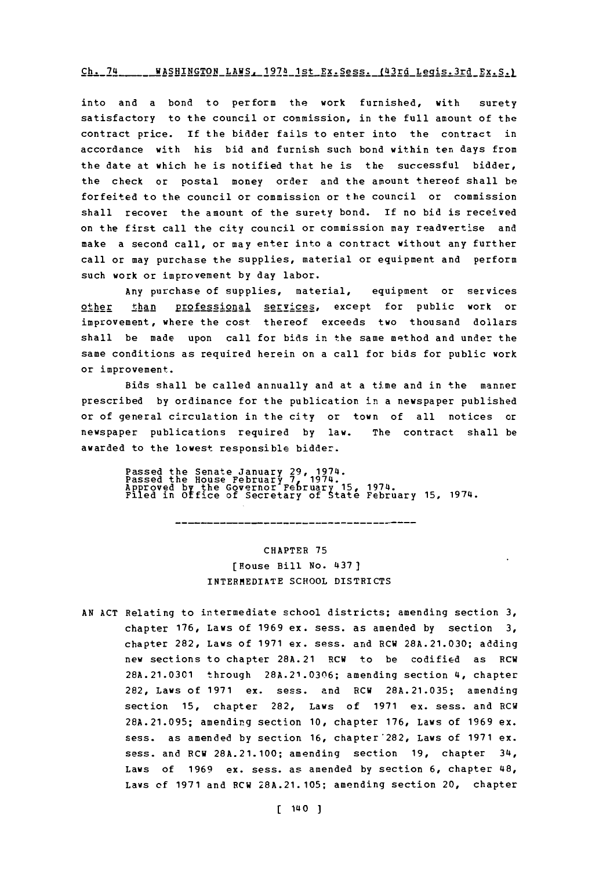### Ch. 74 WASHINGTON LAWS, 1974 1st Ex. Sess. (43rd Legis. 3rd Ex. S.)

into and a bond to perform the work furnished, with surety satisfactory to the council or commission, in the full amount of the contract price. **If** the bidder fails to enter into the contract in accordance with his bid and furnish such bond within ten days from the date at which he is notified that he is the successful bidder, the check or postal money order and the amount thereof shall be forfeited to the council or commission or the council or commission shall recover the amount of the surety bond. If no bid is received on the first call the city council or commission may readvertise and make a second call, or may enter into a contract without any further call or may purchase the supplies, material or equipment and perform such work or improvement **by** day labor.

Any purchase of supplies, material, equipment or services other than professional services, except for public work or improvement, where the cost thereof exceeds two thousand dollars shall be made upon call for bids in the same method and under the same conditions as required herein on a call for bids for public work or improvement.

Bids shall be called annually and at a time and in the manner prescribed by ordinance for the publication in a newspaper published or of general circulation in the city or town of all notices or newspaper publications required **by** law. The contract shall be awarded to the lowest responsible bidder.

Passed the Senate January **29,** 1974. Passed the House February **7** 1974. Approved **by** the Governor Fe'6ruary **15,** 1974. Fled in Office of Secretary of S tate February **15,** 1974.

--------------------------

CHAPTER **75** [House Bill No. 437] INTERMEDIATE **SCHOOL** DISTRICTS

**AN ACT** Relating to intermediate school districts; amending section **3,** chapter **176,** Laws of **1969** ex. sess. as amended **by** section **3,** chapter **282,** Laws of **1971** ex. sess, and RCW **28A.21.030;** adding new sections to chapter **28A.21** RCW to be codified as RCW **28A.21.0301** through **28A.21.0306;** amending section 4, chapter 282, Laws of **1971** ex. sass. and RCW **28A.21.035;** amending section 15, chapter 282, Laws of 1971 ex. sess. and RCW **28A.21.095;** amending section **10,** chapter **176,** Laws of **1969** ex. sess. as amended by section 16, chapter<sup>282</sup>, Laws of 1971 ex. sass. and RCW **28A.21.100;** amending section **19,** chapter 34, Laws of **1969** ex. mess. as amended **by** section **6,** chapter 48, Laws **of 1971** and RCW **28A.21.105;** amending section 20, chapter

 $[ 140 ]$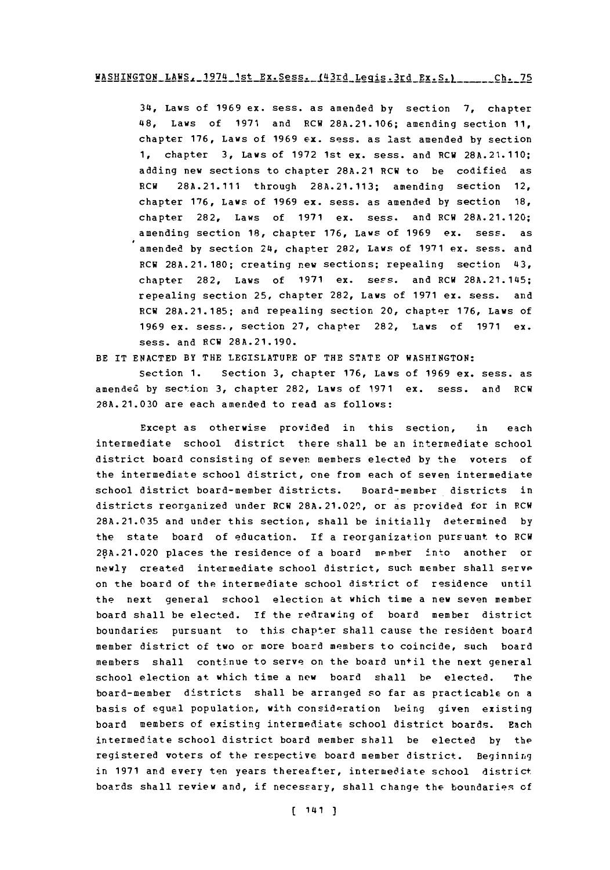**34,** Laws of **1969** ex. sess. as amended **by** section **7,** chapter 48, Laws of **1971** and RCW **28A.21.106;** amending section **11,** chapter **176,** Laws of **1969** ex. mess, as last amended **by** section **1,** chapter **3,** Laws of **1972** 1st ex. sess. and RCW **28A.21.110;** adding new sections to chapter **28A.21** RCW to be codified as RCW **28A.21.111** through **28A.21.113;** amending section 12, chapter **176,** Laws of **1969** ex. mess, as amended **by** section **18,** chapter **282,** Laws of **1971** ex. mess, and RCW **28A.21.120;** amending section **18,** chapter **176,** Laws of **1969** ex. sess. as amended by section 24, chapter 282, Laws of 1971 ex. sess. and RCW **28A.21.180;** creating new sections; repealing section 43, chapter **282,** Laws of **1971** ex. sess. and RCW **28A.21.145;** repealing section 25, chapter 282, Laws of 1971 ex. sess. and RCW **28A.21.185;** and repealing section 20, chapter **176,** Laws of **1969** ex. mess., section **27,** chapter **282,** Laws of **1971** ex. mess. and RCW **28A.21.190.**

BE IT **ENACTED** BY THE **LEGISLATURE** OF THE **STATE** OF **WASHINGTON:**

Section 1. Section 3, chapter 176, Laws of 1969 ex. sess. as amended by section 3, chapter 282, Laws of 1971 ex. sess. and RCW **28A.21.030** are each amended to read as follows:

Except as otherwise provided in this section, in each intermediate school district there shall be an intermediate school district board consisting of seven members elected **by** the voters of the intermediate school district, one from each of seven intermediate school district board-member districts. Board-member districts in districts reorganized under RCW **28A.21.02%,** or as provided for in **PCW 28A.21.0l35** and under this section, shall be initially determined **by** the state board of education. If a reorganization pursuant to RCW **28A.21.020** places the residence of a board member into another or newly created intermediate school district, such member shall serve on the board of the intermediate school district of residence until the next general school election at which time a new seven member board shall be elected. If the redrawing of board member district boundaries pursuant to this chapter shall cause the resident board member district of two or more board members to coincide, such board members shall continue to serve on the board until the next general school election at which time a new board shall **be** elected. The board-member districts shall be arranged so far as practicable on a basis of equal population, with consideration being given existing board members of existing intermediate school district boards. Each intermediate school district board member shall be elected **hy** the registered voters of the respective board member district. Beginning in **1971** and every ten years thereafter, intermediate school district boards shall review and, if necessary, shall change the boundaries of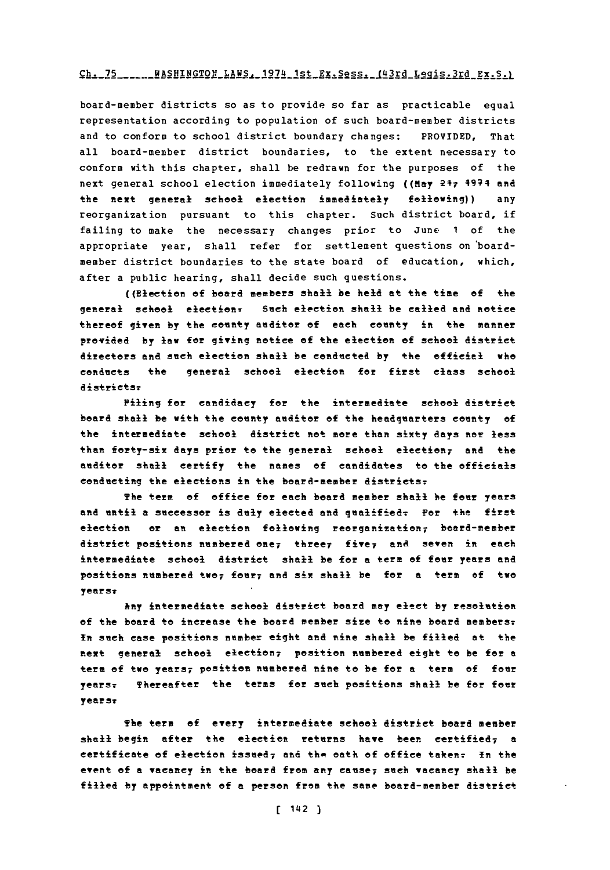### $Ch. 75$  \_\_\_\_\_\_ WASHINGTON LAWS, 1974 1st Ex. Sess. (43rd Leqis.3rd Ex. S.)

board-member districts so as to provide so far as practicable equal representation according to population of such board-member districts and to conform to school district boundary changes: PROVIDED, That all board-member district boundaries, to the extent necessary to conform with this chapter, shall be redrawn for the purposes of the next general school election immediately following (Hav 24, 4974 and the next general school eleetien immediately following)) any reorganization pursuant to this chapter. Such district board, if failing to make the necessary changes prior to June **1** of the appropriate year, shall refer for settlement questions on'boardmember district boundaries to the state board of education, which, after a public hearing, shall decide such questions.

((Election **of** beard members shall he held at the time of the general sehool eleetienr Such election shall be called and notice thereof given by the county auditor of each county in the manner provided **by law** for giving notice **of** the election of school district directers and saek election shall be conducted **by** the efficiel who conducts the general sehool election for first elass seheel districtsr

Piling for candidacy for the intermediate school district board shall be with the county auditor **of** the headquarters eeunty **of** the intermediate school district not more than sixty days nor less than forty-six days prior to the general school election, and the auditor shall certify the names of candidates to the officials conducting the elections in the board-member districts:

The term of office for each board member shall be four years and until a successor is duly elected and qualified: **Por the first** eleetion or an election following reorganizatienr beard-member district positions nembered one7 three; five7 **and** seven in each intermediate sehool district shall be for a term of foar years and positions numbered two; four; and six shall be for a term of two years:

Any intermediate school district board may eleet **by** resolution of the board to increase the board member size to nine board members: In such ease positiens number eight and nine shall be filled at the next general school election; position numbered eight to be for **a** term **of** two years7 position numbered nine to be for a term **of** four years: Thereafter the terms for such positions shall be for four years:

The term **of** every intermediate school district beard member shall begin after the election returns have been certified<sub>7</sub> a certificate of eleetion issued; and tho oath **of** office takenr in the event of **a vacancy** in the board from **any** eaase; sueh vacancy shall be filled **by** appointment **of a** persen from the same board-member district

 $[142]$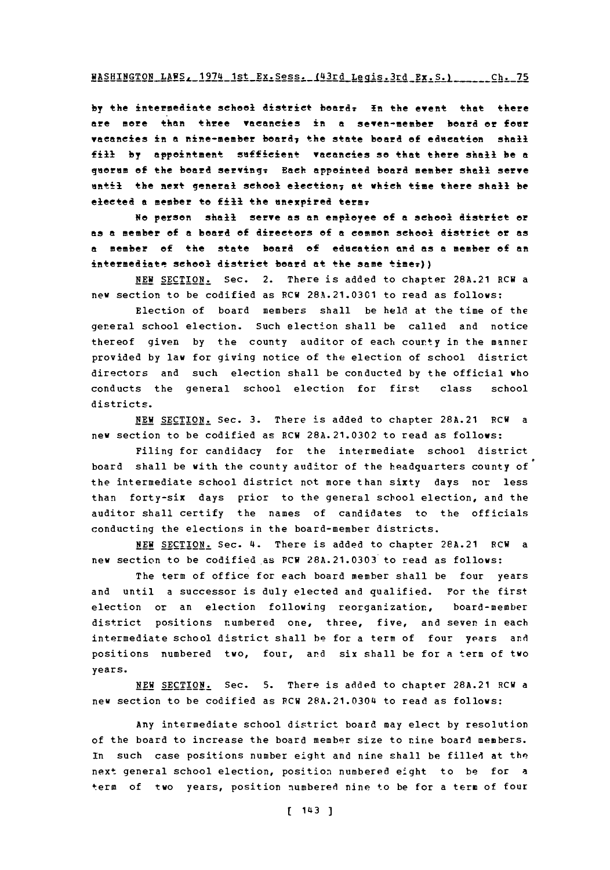WASHINGTON LAWS. 1974 1st Ex.Sess. 143rd Legis.3rd Bx. S.) ....... Ch. 75

by the intermediate school district board: In the event that there are more than three vacancies in a seven-member board or four vacancies in a nine-member board, the state board of education shall fill **by** appointment stffieient vacancies so that there shall be **a** quorem **of** the beard serving: **Each** appointed beard member shall serve until the next general school election, at which time there shall be elected a member to fill the unexpired terms

**No** person shall serve as an emploee **of** a school district or as **a** member **of a** beard of direetors of **a** eemmon school distriet or as a member **of** the state beard of edecation and **as a** member **of** an intermediate school district beard at the same time:))

**NEW SECTION.** Sec. 2. There is added to chapter **28A.21** RCW a new section to be codified as PCW **28A.21.0301** to read as follows:

Election of board members shall be held at the time of the general school election. Such election shall be called and notice thereof given **by** the county auditor of each county in the manner provided **by** law for giving notice of the election of school district directors and such election shall be conducted **by** the official who conducts the general school election for first class school districts.

**NEW** SECTION. Sec. **3.** There is added to chapter **28A.21** RCW a new section to be codified as ROW **28A.21.0302** to read as follows:

Filing for candidacy for the intermediate school district board shall be with the county auditor of the headquarters county of the intermediate school district not more than sixty days nor less than forty-six days prior to the general school election, and the auditor shall certify the names of candidates to the officials conducting the elections in the board-member districts.

**NEW** SECTION. Sec. **4.** There is added to chapter **28A.21** RCW a new section to be codified as PCW **28A.21.0303** to read as follows:

The term of office for each board member shall be four years and until a successor is duly elected and qualified. For the first election or an election following reorganization, board-member district positions numbered one, three, five, and seven in each intermediate school district shall be for a term of four years and positions numbered two, four, and six shall be for a term of two years.

**NEW SECTION.** Sec. **5.** There is added to chapter **28A.21** RCW a new section to be codified as PCW **28A.21.03014** to read as follows:

Any intermediate school district board may elect **by** resolution of the board to increase the board member size to nine board members. In such case positions number eight and nine shall be filled at the next general school election, position numbered eight to be for a term of two years, position numbered nine to be for a term of four

 $[143]$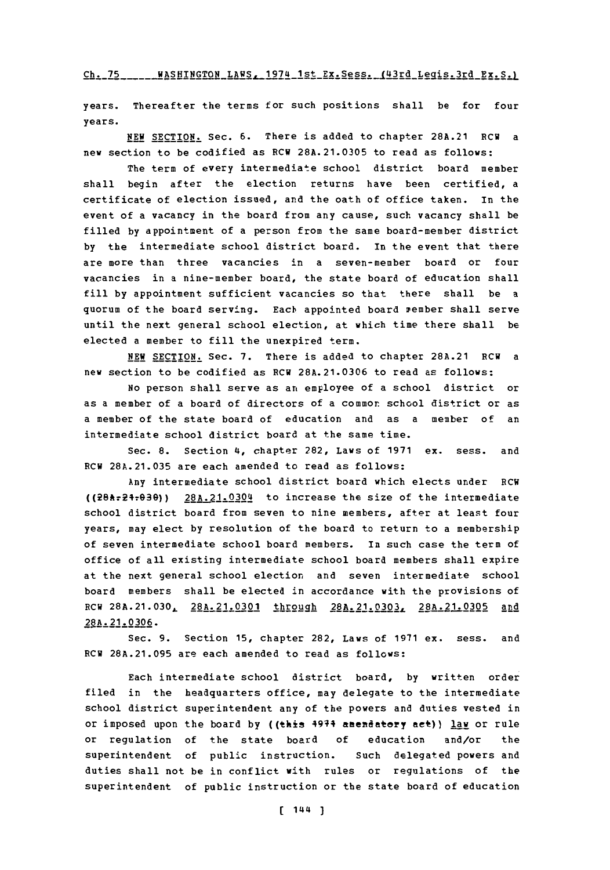### $Ch. 75$  \_\_\_\_\_\_ WASHINGTON\_LAWS, 1974\_1st\_Ex.Sess. (43rd\_Leqis.3rd\_Ex.S.)

years. Thereafter the terms for such positions shall be for four years.

**NEW** SECTION. Sec. **6.** There is added to chapter **28A.21** RCW a new section to be codified as RCW **28A.21.0305** to read as follows:

The term of every intermediate school district board member shall begin after the election returns have been certified, a certificate of election issued, and the oath of office taken. In the event of a vacancy in the board from any cause, such vacancy shall be filled **by** appointment of a person from the same board-member district **by** the intermediate school district board. In the event that there are more than three vacancies in a seven-member board or four vacancies in a nine-member board, the state board of education shall fill **by** appointment sufficient vacancies so that there shall be a quorum of the board serving. Each appointed board m'ember shall serve until the next general school election, at which time there shall be elected a member to fill the unexpired term.

**NEW** SECTION. Sec. **7.** There is added to chapter **28A.21** RCW a new section to be codified as RCW **28A.21.0306** to read as follows:

**No** person shall serve as an employee of a school district or as a member of a board of directors of a commor school district or as a member of the state board of education and as a member of an intermediate school district board at the same time.

Sec. **8.** Section 4, chapter **282,** Laws of **1971 ex.** sess. and RCW **28A.21.035** are each amended to read as follows:

Any intermediate school district board which elects under RCW ((28h=24=030)) 28A.21.0304 to increase the size of the intermediate school district board from seven to nine members, after at least four years, may elect **by** resolution of the board to return to a membership of seven intermediate school board members. In such case the term of office of all existing intermediate school board members shall expire at the next general school election and seven intermediate school board members shall be elected in accordance with the provisions of RCW **2 8 A. 2 1 .0 <sup>3</sup> 0, 28A.21.0301** through .2A.21. O301, **28A .21.0305** and **28A. 21.0306.**

Sec. **9.** Section **15,** chapter **282,** Laws of **1971** ex. sess. and RCW **28A.21.095** are each amended to read as follows:

Each intermediate school district board, **by** written order filed in the headquarters office, may delegate to the intermediate school district superintendent any of the powers and duties vested in or imposed upon the board **by** ((this 4974 amendatoery act)) lay or rule or regulation of the state board **of** education and/or the superintendent of public instruction. Such delegated powers and duties shall not be in conflict with rules or regulations of the superintendent of public instruction or the state board of education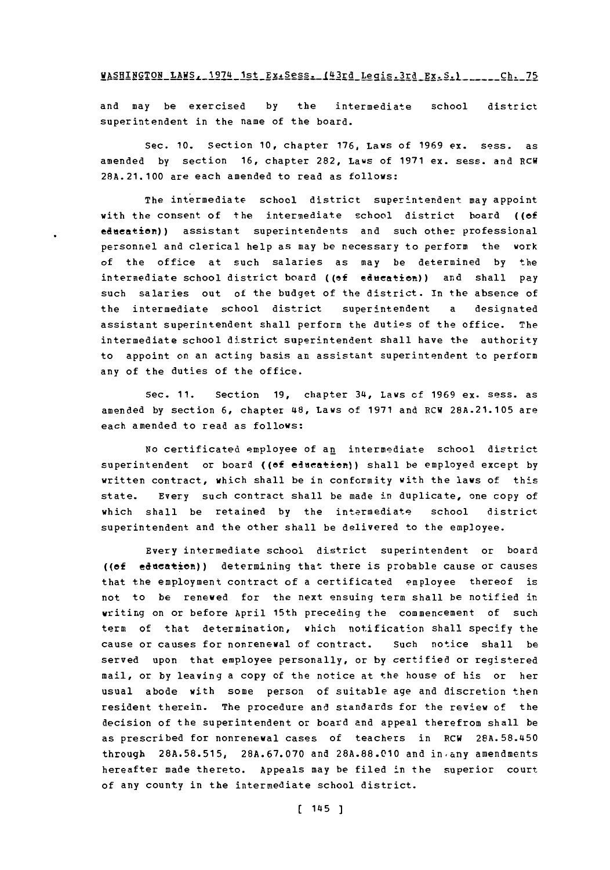WASHINGTOW LAWS,\_1974 1st Ex.Sess. 143rdj Leois.3rd **Ex. S.)-c ;1 7C**

and may be exercised **by** the intermediate school district superintendent in the name of the board.

Sec. **10.** Section **10,** chapter **176,** Laws of **1969** ex. sess. as amended **by** section **16,** chapter **282,** Laws of **1971** ex. sess. and RCW **28A.21.100** are each amended to read as follows:

The intermediate school district superintendent may appoint with the consent of the intermediate school district board **((Of** education)) assistant superintendents and such other professional personnel and clerical help as may be necessary to perform the work of the office at such salaries as may be determined **by** the intermediate school district board **((of** education)) and shall pay such salaries out of the budget of the district. In the absence of the intermediate school district superintendent a designated assistant superintendent shall perform the duties of the office. The intermediate school district superintendent shall have the authority to appoint on an acting basis an assistant superintendent to perform any of the duties of the office.

Sec. **11.** Section **19,** chapter 34, Laws **of 1969** ex. sess. as amended **by** section **6,** chapter 48, Laws of **1971** and RCW **28A.21.105** are each amended to read as follows:

**No** certificated employee of an intermediate school district superintendent or board **((of** education)) shall be employed except **by** written contract, which shall be in conformity with the laws of this state. Every such contract shall be made in duplicate, one copy of which shall be retained **by** the intermediate school district superintendent and the other shall be delivered to the employee.

Every intermediate school district superintendent or board ((of education)) determining that there is probable cause or causes that the employment contract of a certificated employee thereof is not to be renewed for the next ensuing term shall be notified in writing on or before April 15th preceding the commencement of such term of that determination, which notification shall specify the cause or causes for nonrenewal of contract. Such notice shall be served upon that employee personally, or **by** certified or registered mail, or **by** leaving a copy of the notice at the house of his or her usual abode with some person of suitable age and discretion then resident therein. The procedure and standards for the review of the decision of the superintendent or board and appeal therefrom shall be as prescribed for nonrenewal cases of teachers in RCW **28A.58.4i50** through **28A.58.515, 28A.67.070** and **28A.88.010** and in~any amendments hereafter made thereto. Appeals may be filed in the superior court of any county in the intermediate school district.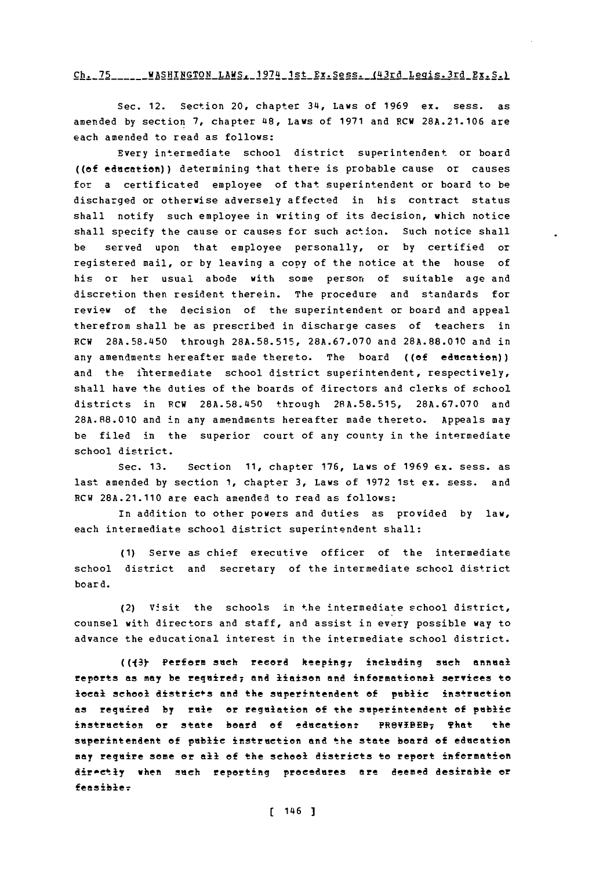## **ri,** WASHINGTON **~7'** LAWS. 19714 1st Ex.Sess. (143rd Lec\*is.3rd Ex.S.) **CV,** 7c

Sec. 12. Section 20, chapter **314,** Laws of **1969** ex. sess. as amended **by** section **7,** chapter **U8,** Laws of **1971** and RCW **28A.21.106** are each amended to read as follows:

Every intermediate school district superintendent or board ((ef education) **)** determining that there is probable cause or causes for a certificated employee of that superintendent or board to be discharged or otherwise adversely affected in his contract status shall notify such employee in writing of its decision, which notice shall specify the cause or causes for such action. Such notice shall be served upon that employee personally, or **by** certified or registered mail, or **by** leaving a copy of the notice at the house of his or her usual abode with some person of suitable age and discretion then resident therein. The procedure and standards for review of the decision of the superintendent or board and appeal therefrom shall be as prescribed in discharge cases of teachers in RCW **28A.58.1450** through **28A.58.515, 28A.67.070** and **28A.88.010** and in any amendments hereafter made thereto. The board **((of** education)) and the intermediate school district superintendent, respectively, shall have the duties of the boards of directors and clerks of school districts in RCW **28A.58.L450** through **28A.58.515, 28A.67.070** and 28A.88.010 and in any amendments hereafter made thereto. Appeals may be filed in the superior court of any county in the intermediate school district.

Sec. **13.** Section **11,** chapter **176,** Laws of **1969** ex. sess. as last amended **by** section **1,** chapter **3,** Laws of **1972** 1st ex. sess. and RCW **28A.21.110** are each amended to read as follows:

In addition to other powers and duties as provided **by** law, each intermediate school district superintendent shall:

**(1)** Serve as chief executive officer of the intermediate school district and secretary of the intermediate school district board.

(2) Visit the schools in the intermediate school district, counsel with directors and staff, and assist in every possible way to advance the educational interest in the intermediate school district.

((43) Perform such record keeping<sub>7</sub> including such annual reports as may be required; and liaison and informational services to **local** school ditric~s and the spernteder't **of** public istruction as required by rule or regulation of the superintendent of public instruction or state board of edeatient PROVIBEB7 That the superintendent of public instruction and the state board of education may require some or all of the school districts to report information directly when such reporting procedures are deemed desirable or feasibler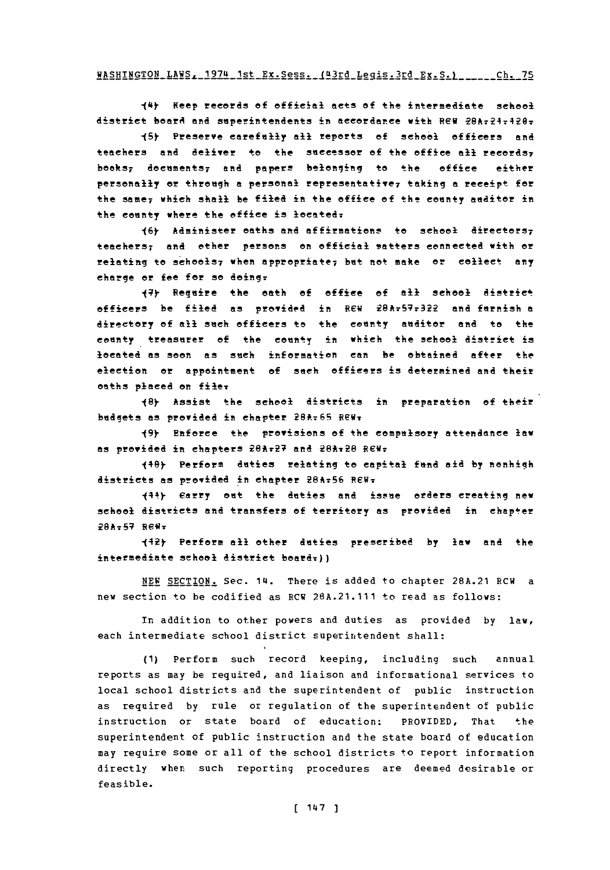WASHINGTON\_LAWS. 1974\_1st\_Ex. Sess. 193rd Legis .3rd Ex. S.1 \_\_\_\_\_\_ Ch. 13

14 Keep records of official acts of the intermedaete **school** district board and superintendents in accordance with REW 20Az24z420z

15)- Preserve carefully **all** reports **of** school officers and teechers and deliver te the eucessor **ef** the offie **all** records7 **bookS7** doeMentM7 **and** papers belonging to the office either personally or threugh **a** personal representatlye7 taking **et** reeipt for the same<sub>7</sub> which shall be filed in the office of the county auditor in the county where the office is locatedr

-(6) Administer eths **and** affirmetions to scealo direCtorn; temehers7 end other persons **on** official matters connected with or relating to schools, when appropriate, but not make or collect any charge or fee for so doing:

**14y-** Require the oath **of** office **of** all school district oficers be filed as provided in REW **28\*75?7322** and furnish **a** directory **of all** such officers to the county anditor end to the county treasurer of the county in which the school district is located as soon as such information can be obtained after the election or appointment of such officers in determined end their oaths placed on file:

**JB)-** Assist the school districts in preparation **of** their budgets as provided **in** chepter 2BAz6S ReWv

**j9)-** Enforce the previsions **of** the eempalsory attendence law as provided in chapters 28Ax27 and 28Ax28 REW.

149Y- Perform duties relating to capital **fwfnd** eid **by** noanhiqh districts as provided in chapter 28A:56 REWT

144). earry out the duties **end** issue orders erenting new school districts **end** transfers **of** territory en provided in chep'er **28ATS7** RENT

142)- Perform **all** other duties prescribed **by** lew end the intermediate seheol dintriet berdz))

**NEW** SECTION. Sec. **14l.** There is added to chapter **28A.21** RCW a new section to be codified as RCW **28A.21.111** to read as follows:

in addition to other powers and duties as provided **by** law, each intermediate school district superintendent shall:

**(1)** Perform such record keeping, including such annual reports as may be required, and liaison and informational services to local school districts and the superintendent of public instruction as required **by** rule or regulation of the superintendent of public instruction or state board of education: PROVIDED, That the superintendent of public instruction and the state board of education may require some or all of the school districts to report information directly when such reporting procedures are deemed desirable or feasible.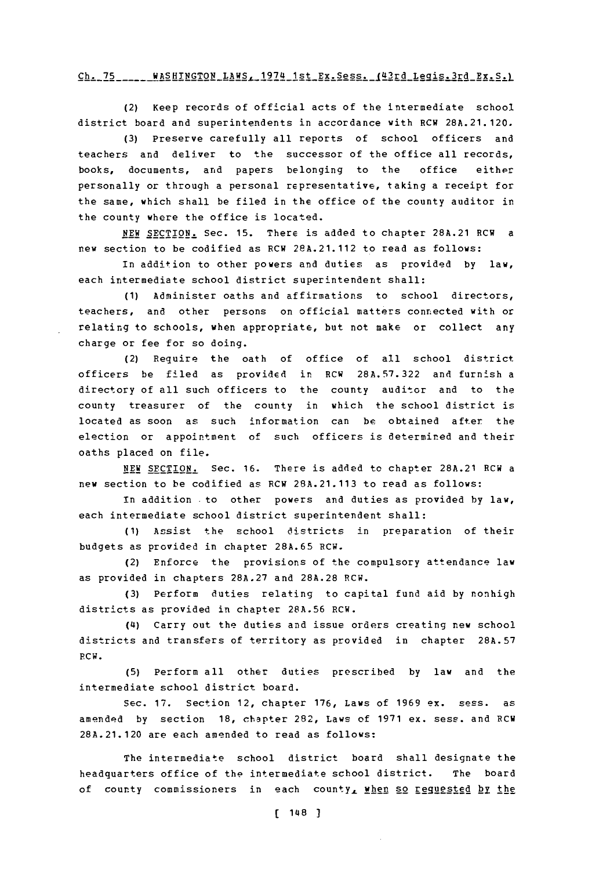### Ch. 75 **\_\_\_**, WASHINGTON LAWS, 1974 1st Ex. Sess. (43rd Legis. 3rd Ex. S.)

(2) Keep records of official acts of the intermediate school district board and superintendents in accordance with RCW **28A.21.120,**

**(3)** Preserve carefully all reports of school officers and teachers and deliver to the successor of the office all records, books, documents, and papers belonging to the office either personally or through a personal representative, taking a receipt for the same, which shall be filed in the office of the county auditor in the county where the office is located.

NEW SECTION. Sec. **15.** There is added to chapter **28A.21** RCW a new section to be codified as RCW **28A.21.112** to read as follows:

In addifion to other powers and duties as provided **by** law, each intermediate school district superintendent shall:

**(1)** Administer oaths and affirmations to school directors, teachers, and other persons on official matters connected with or relating to schools, when appropriate, but not make or collect any charge or fee for so doing.

(2) Require the oath of office of all school district officers be filed as provided in RCW **28A.57.322** and furnish a directory of all such officers to the county auditor and to the county treasurer of the county in which the school district is located as soon as such information can be obtained after the election or appointment of such officers is determined and their oaths placed on file.

**NEW** SECTION. Sec. **16.** There is added to chapter **28A.21** RCW a new section to be codified as RCW **28A.21.113** to read as follows:

In addition to other powers and duties as provided **by** law, each intermediate school district superintendent shall:

**(1)** Assist the school districts in preparation of their budgets as provided in chapter **28A.65** RCW.

(2) Enforce the provisions of the compulsory attendance law as provided in chapters **28A.27** and **28A.28** RCW.

(3) Perform duties relating to capital fund aid by nonhigh districts as provided in chapter **28A.56** RCW.

(4) Carry out the duties and Issue orders creating new school districts and transfers of territory as provided in chapter **28A.57 FCW.**

**(5)** Perform all other duties prescribed **by** law and the intermediate school district board.

**Sec. 17.** Section 12, chapter **176,** Laws of **1969** ex. sess. as amended **by** section **18,** chapter **282,** Laws of **1971** ex. sess. and RCW **28A.21.120** are each amended to read as follows:

The intermediate school district board shall designate the headquarters office of the intermediate school district. The board of county commissioners in each county, when so requested by the

#### [ 148 **1**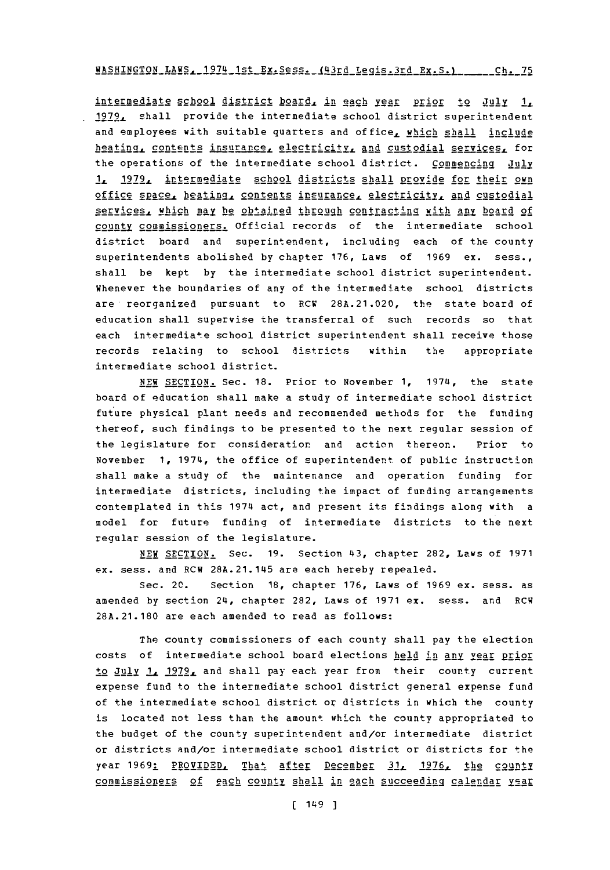WASHINGTON LAWS, 1974 1st Ex.Sess. (43rd Legis.3rd Ex. S.) \_\_ \_\_ Ch. 75

intermediate school district board, in each **year** prior to July **1±'**  $1979$ , shall provide the intermediate school district superintendent and employees with suitable quarters and office, which shall include heating, contents insurance, electricity, and custodial services, for the operations of the intermediate school district. Commencing July 1, 1979, intermediate school districts shall provide for their own office space, heating, contents insurance, electricity, and custodial services, which may be obtained through contracting with any board of countv commissioners. official records of the intermediate school district board and superintendent, including each of the county superintendents abolished **by** chapter **176,** Laws of **1969** ex. sess., shall be kept **by** the intermediate school district superintendent. Whenever the boundaries of any of the intermediate school districts are reorganized pursuant to RCW **28A.21.020,** the state board of education shall supervise the transferral of such records so that each intermediate school district superintendent shall receive those records relating to school districts within the appropriate intermediate school district.

**NEW SECTION.** Sec. **18.** Prior to November **1, 197U,** the state board of education shall make a study of intermediate school district future physical plant needs and recommended methods for the funding thereof, such findings to be presented to the next regular session of the legislature for consideratior and action thereon. Prior to November **1,** 1974, the office of superintendent of public instruction shall make a study of the maintenance and operation funding for intermediate districts, including the impact of funding arrangements contemplated in this 1974 act, and present its findings along with a model for future funding of intermediate districts to the next regular session of the legislature.

**NEW** SECTION. Sec. **19.** Section 43, chapter 282, Laws of **1971** ex. sess. and RCW **28A.21.145** are each hereby repealed.

Sec. 2C. Section **18,** chapter **176,** Laws of **1969** ex. sess. as amended **by** section 24, chapter **282,** Laws of **1971** ex. sess. and RCW **28A.21.180** are each amended to read as follows:

The county commissioners of each county shall pay the election costs of intermediate school board elections held **in any** 1ear **pr1ior** to **Jul1y** 1\_L **<sup>1</sup> <sup>9</sup> 22.** and shall pay each year from their county current expense fund to the intermediate school district general expense fund of the intermediate school district or districts in which the county is located not less than the amount which the county appropriated to the budget of the county superintendent and/or intermediate district or districts and/or intermediate school district or districts for the year **1969:** PROVIDED, That after December **3 1 , 1976\_,** the countl commissioners of each county shall in each succeeding calendar year